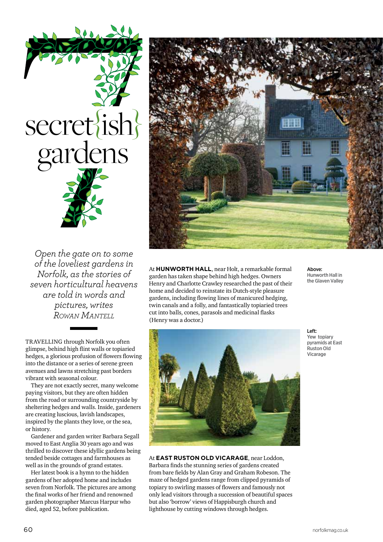*Open the gate on to some of the loveliest gardens in Norfolk, as the stories of seven horticultural heavens are told in words and pictures, writes Rowan Mantell*

secret{ish}

gardens

TRAVELLING through Norfolk you often glimpse, behind high flint walls or topiaried hedges, a glorious profusion of flowers flowing into the distance or a series of serene green avenues and lawns stretching past borders vibrant with seasonal colour.

They are not exactly secret, many welcome paying visitors, but they are often hidden from the road or surrounding countryside by sheltering hedges and walls. Inside, gardeners are creating luscious, lavish landscapes, inspired by the plants they love, or the sea, or history.

Gardener and garden writer Barbara Segall moved to East Anglia 30 years ago and was thrilled to discover these idyllic gardens being tended beside cottages and farmhouses as well as in the grounds of grand estates.

Her latest book is a hymn to the hidden gardens of her adopted home and includes seven from Norfolk. The pictures are among the final works of her friend and renowned garden photographer Marcus Harpur who died, aged 52, before publication.





Left: Yew topiary pyramids at East . .<br>Ruston Old Vicarage

Above: Hunworth Hall in the Glaven Valley

At **East Ruston Old Vicarage**, near Loddon, Barbara finds the stunning series of gardens created from bare fields by Alan Gray and Graham Robeson. The maze of hedged gardens range from clipped pyramids of topiary to swirling masses of flowers and famously not only lead visitors through a succession of beautiful spaces but also 'borrow' views of Happisburgh church and lighthouse by cutting windows through hedges.